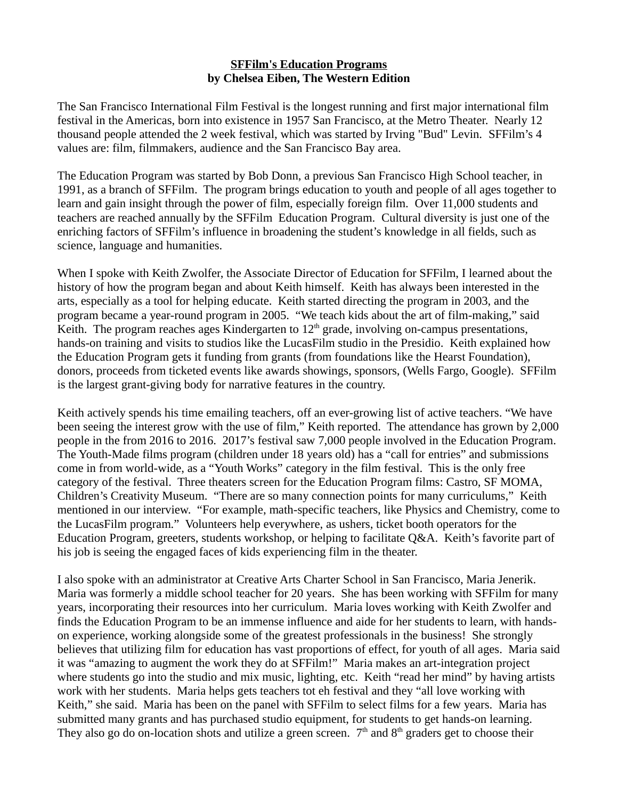## **SFFilm's Education Programs by Chelsea Eiben, The Western Edition**

The San Francisco International Film Festival is the longest running and first major international film festival in the Americas, born into existence in 1957 San Francisco, at the Metro Theater. Nearly 12 thousand people attended the 2 week festival, which was started by Irving "Bud" Levin. SFFilm's 4 values are: film, filmmakers, audience and the San Francisco Bay area.

The Education Program was started by Bob Donn, a previous San Francisco High School teacher, in 1991, as a branch of SFFilm. The program brings education to youth and people of all ages together to learn and gain insight through the power of film, especially foreign film. Over 11,000 students and teachers are reached annually by the SFFilm Education Program. Cultural diversity is just one of the enriching factors of SFFilm's influence in broadening the student's knowledge in all fields, such as science, language and humanities.

When I spoke with Keith Zwolfer, the Associate Director of Education for SFFilm, I learned about the history of how the program began and about Keith himself. Keith has always been interested in the arts, especially as a tool for helping educate. Keith started directing the program in 2003, and the program became a year-round program in 2005. "We teach kids about the art of film-making," said Keith. The program reaches ages Kindergarten to  $12<sup>th</sup>$  grade, involving on-campus presentations, hands-on training and visits to studios like the LucasFilm studio in the Presidio. Keith explained how the Education Program gets it funding from grants (from foundations like the Hearst Foundation), donors, proceeds from ticketed events like awards showings, sponsors, (Wells Fargo, Google). SFFilm is the largest grant-giving body for narrative features in the country.

Keith actively spends his time emailing teachers, off an ever-growing list of active teachers. "We have been seeing the interest grow with the use of film," Keith reported. The attendance has grown by 2,000 people in the from 2016 to 2016. 2017's festival saw 7,000 people involved in the Education Program. The Youth-Made films program (children under 18 years old) has a "call for entries" and submissions come in from world-wide, as a "Youth Works" category in the film festival. This is the only free category of the festival. Three theaters screen for the Education Program films: Castro, SF MOMA, Children's Creativity Museum. "There are so many connection points for many curriculums," Keith mentioned in our interview. "For example, math-specific teachers, like Physics and Chemistry, come to the LucasFilm program." Volunteers help everywhere, as ushers, ticket booth operators for the Education Program, greeters, students workshop, or helping to facilitate Q&A. Keith's favorite part of his job is seeing the engaged faces of kids experiencing film in the theater.

I also spoke with an administrator at Creative Arts Charter School in San Francisco, Maria Jenerik. Maria was formerly a middle school teacher for 20 years. She has been working with SFFilm for many years, incorporating their resources into her curriculum. Maria loves working with Keith Zwolfer and finds the Education Program to be an immense influence and aide for her students to learn, with handson experience, working alongside some of the greatest professionals in the business! She strongly believes that utilizing film for education has vast proportions of effect, for youth of all ages. Maria said it was "amazing to augment the work they do at SFFilm!" Maria makes an art-integration project where students go into the studio and mix music, lighting, etc. Keith "read her mind" by having artists work with her students. Maria helps gets teachers tot eh festival and they "all love working with Keith," she said. Maria has been on the panel with SFFilm to select films for a few years. Maria has submitted many grants and has purchased studio equipment, for students to get hands-on learning. They also go do on-location shots and utilize a green screen.  $7<sup>th</sup>$  and  $8<sup>th</sup>$  graders get to choose their